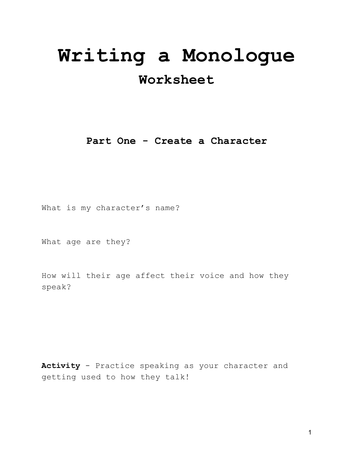# **Writing a Monologue**

# **Worksheet**

**Part One - Create a Character**

What is my character's name?

What age are they?

How will their age affect their voice and how they speak?

**Activity** - Practice speaking as your character and getting used to how they talk!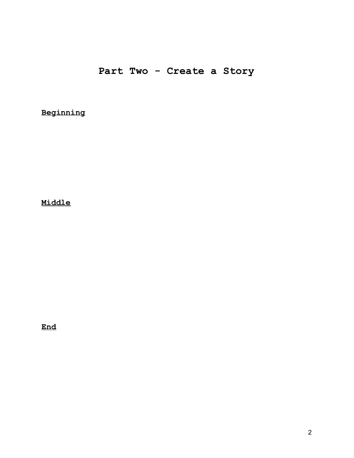## **Part Two - Create a Story**

**Beginning**

**Middle**

**End**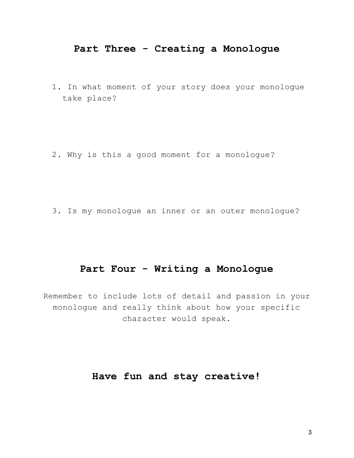## **Part Three - Creating a Monologue**

1. In what moment of your story does your monologue take place?

2. Why is this a good moment for a monologue?

3. Is my monologue an inner or an outer monologue?

## **Part Four - Writing a Monologue**

Remember to include lots of detail and passion in your monologue and really think about how your specific character would speak.

## **Have fun and stay creative!**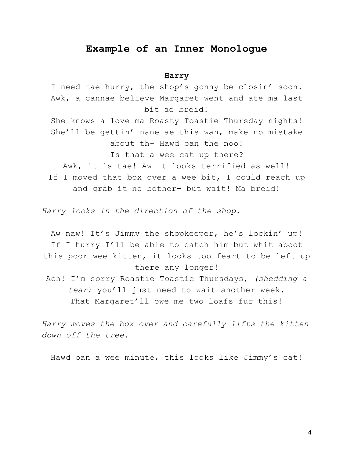### **Example of an Inner Monologue**

#### **Harry**

I need tae hurry, the shop's gonny be closin' soon. Awk, a cannae believe Margaret went and ate ma last bit ae breid! She knows a love ma Roasty Toastie Thursday nights! She'll be gettin' nane ae this wan, make no mistake about th- Hawd oan the noo! Is that a wee cat up there? Awk, it is tae! Aw it looks terrified as well! If I moved that box over a wee bit, I could reach up and grab it no bother- but wait! Ma breid!

*Harry looks in the direction of the shop.*

Aw naw! It's Jimmy the shopkeeper, he's lockin' up! If I hurry I'll be able to catch him but whit aboot this poor wee kitten, it looks too feart to be left up there any longer! Ach! I'm sorry Roastie Toastie Thursdays, *(shedding a tear)* you'll just need to wait another week. That Margaret'll owe me two loafs fur this!

*Harry moves the box over and carefully lifts the kitten down off the tree.*

Hawd oan a wee minute, this looks like Jimmy's cat!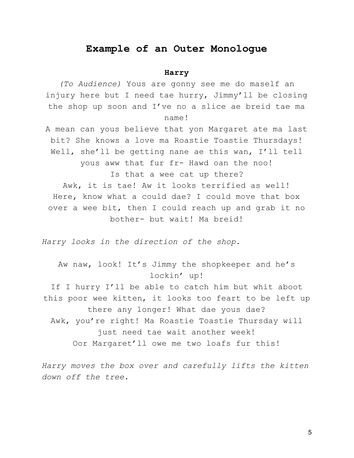### **Example of an Outer Monologue**

#### **Harry**

*(To Audience)* Yous are gonny see me do maself an injury here but I need tae hurry, Jimmy'll be closing the shop up soon and I've no a slice ae breid tae ma name!

A mean can yous believe that yon Margaret ate ma last bit? She knows a love ma Roastie Toastie Thursdays! Well, she'll be getting nane ae this wan, I'll tell yous aww that fur fr- Hawd oan the noo! Is that a wee cat up there? Awk, it is tae! Aw it looks terrified as well! Here, know what a could dae? I could move that box over a wee bit, then I could reach up and grab it no bother- but wait! Ma breid!

*Harry looks in the direction of the shop.*

Aw naw, look! It's Jimmy the shopkeeper and he's lockin' up! If I hurry I'll be able to catch him but whit aboot this poor wee kitten, it looks too feart to be left up there any longer! What dae yous dae? Awk, you're right! Ma Roastie Toastie Thursday will just need tae wait another week! Oor Margaret'll owe me two loafs fur this!

*Harry moves the box over and carefully lifts the kitten down off the tree.*